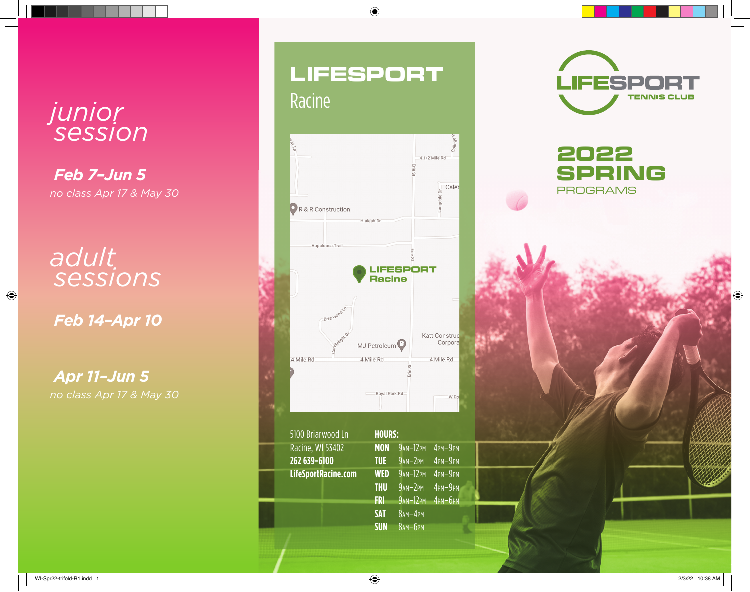# *junior session*

*Feb 7–Jun 5 no class Apr 17 & May 30*

*adult sessions*

*Feb 14–Apr 10* 

 $\bigoplus$ 

*Apr 11–Jun 5 no class Apr 17 & May 30*

# LIFESPORT Racine

 $\bigoplus$ 



| 5100 Briarwood Ln   | <b>HOURS:</b> |                  |                |
|---------------------|---------------|------------------|----------------|
| Racine, WI 53402    | <b>MON</b>    | $9AM-12PM$       | $4$ PM $-9$ PM |
| 262 639-6100        | <b>TUE</b>    | $9AM-2PM$        | 4PM-9PM        |
| LifeSportRacine.com | <b>WED</b>    | $9AM-12PM$       | 4PM-9PM        |
|                     | <b>THU</b>    | $9AM-2PM$        | 4PM-9PM        |
|                     | <b>FRI</b>    | 9ам-12рм 4рм-6рм |                |
|                     | <b>SAT</b>    | $8AM-4PM$        |                |
|                     | <b>SUN</b>    | 8 ам-брм         |                |
|                     |               |                  |                |